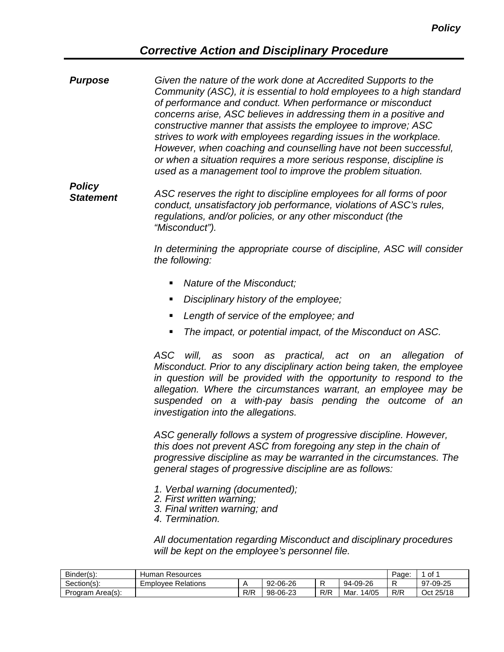## *Corrective Action and Disciplinary Procedure*

*Given the nature of the work done at Accredited Supports to the Community (ASC), it is essential to hold employees to a high standard of performance and conduct. When performance or misconduct concerns arise, ASC believes in addressing them in a positive and constructive manner that assists the employee to improve; ASC strives to work with employees regarding issues in the workplace. However, when coaching and counselling have not been successful, or when a situation requires a more serious response, discipline is used as a management tool to improve the problem situation. Purpose*

*ASC reserves the right to discipline employees for all forms of poor conduct, unsatisfactory job performance, violations of ASC's rules, regulations, and/or policies, or any other misconduct (the "Misconduct"). Policy Statement*

> *In determining the appropriate course of discipline, ASC will consider the following:*

- *Nature of the Misconduct;*
- *Disciplinary history of the employee;*
- *Length of service of the employee; and*
- *The impact, or potential impact, of the Misconduct on ASC.*

*ASC will, as soon as practical, act on an allegation of Misconduct. Prior to any disciplinary action being taken, the employee in question will be provided with the opportunity to respond to the allegation. Where the circumstances warrant, an employee may be suspended on a with-pay basis pending the outcome of an investigation into the allegations.*

*ASC generally follows a system of progressive discipline. However, this does not prevent ASC from foregoing any step in the chain of progressive discipline as may be warranted in the circumstances. The general stages of progressive discipline are as follows:*

- *1. Verbal warning (documented);*
- *2. First written warning;*
- *3. Final written warning; and*
- *4. Termination.*

*All documentation regarding Misconduct and disciplinary procedures will be kept on the employee's personnel file.* 

| Binder(s):       | Resources<br>Human        | Page | of 1     |     |              |     |           |
|------------------|---------------------------|------|----------|-----|--------------|-----|-----------|
| Section(s):      | <b>Employee Relations</b> |      | 92-06-26 |     | 94-09-26     |     | 97-09-25  |
| Program Area(s): |                           | R/R  | 98-06-23 | R/R | 14/05<br>Mar | R/R | Oct 25/18 |